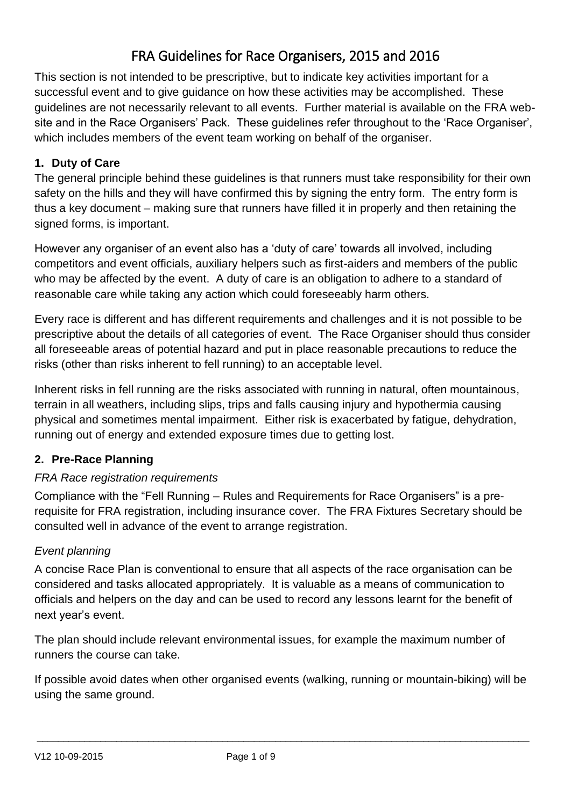# FRA Guidelines for Race Organisers, 2015 and 2016

This section is not intended to be prescriptive, but to indicate key activities important for a successful event and to give guidance on how these activities may be accomplished. These guidelines are not necessarily relevant to all events. Further material is available on the FRA website and in the Race Organisers' Pack. These guidelines refer throughout to the 'Race Organiser', which includes members of the event team working on behalf of the organiser.

# **1. Duty of Care**

The general principle behind these guidelines is that runners must take responsibility for their own safety on the hills and they will have confirmed this by signing the entry form. The entry form is thus a key document – making sure that runners have filled it in properly and then retaining the signed forms, is important.

However any organiser of an event also has a 'duty of care' towards all involved, including competitors and event officials, auxiliary helpers such as first-aiders and members of the public who may be affected by the event. A duty of care is an obligation to adhere to a standard of reasonable care while taking any action which could foreseeably harm others.

Every race is different and has different requirements and challenges and it is not possible to be prescriptive about the details of all categories of event. The Race Organiser should thus consider all foreseeable areas of potential hazard and put in place reasonable precautions to reduce the risks (other than risks inherent to fell running) to an acceptable level.

Inherent risks in fell running are the risks associated with running in natural, often mountainous, terrain in all weathers, including slips, trips and falls causing injury and hypothermia causing physical and sometimes mental impairment. Either risk is exacerbated by fatigue, dehydration, running out of energy and extended exposure times due to getting lost.

# **2. Pre-Race Planning**

## *FRA Race registration requirements*

Compliance with the "Fell Running – Rules and Requirements for Race Organisers" is a prerequisite for FRA registration, including insurance cover. The FRA Fixtures Secretary should be consulted well in advance of the event to arrange registration.

# *Event planning*

A concise Race Plan is conventional to ensure that all aspects of the race organisation can be considered and tasks allocated appropriately. It is valuable as a means of communication to officials and helpers on the day and can be used to record any lessons learnt for the benefit of next year's event.

The plan should include relevant environmental issues, for example the maximum number of runners the course can take.

If possible avoid dates when other organised events (walking, running or mountain-biking) will be using the same ground.

 $\_$  ,  $\_$  ,  $\_$  ,  $\_$  ,  $\_$  ,  $\_$  ,  $\_$  ,  $\_$  ,  $\_$  ,  $\_$  ,  $\_$  ,  $\_$  ,  $\_$  ,  $\_$  ,  $\_$  ,  $\_$  ,  $\_$  ,  $\_$  ,  $\_$  ,  $\_$  ,  $\_$  ,  $\_$  ,  $\_$  ,  $\_$  ,  $\_$  ,  $\_$  ,  $\_$  ,  $\_$  ,  $\_$  ,  $\_$  ,  $\_$  ,  $\_$  ,  $\_$  ,  $\_$  ,  $\_$  ,  $\_$  ,  $\_$  ,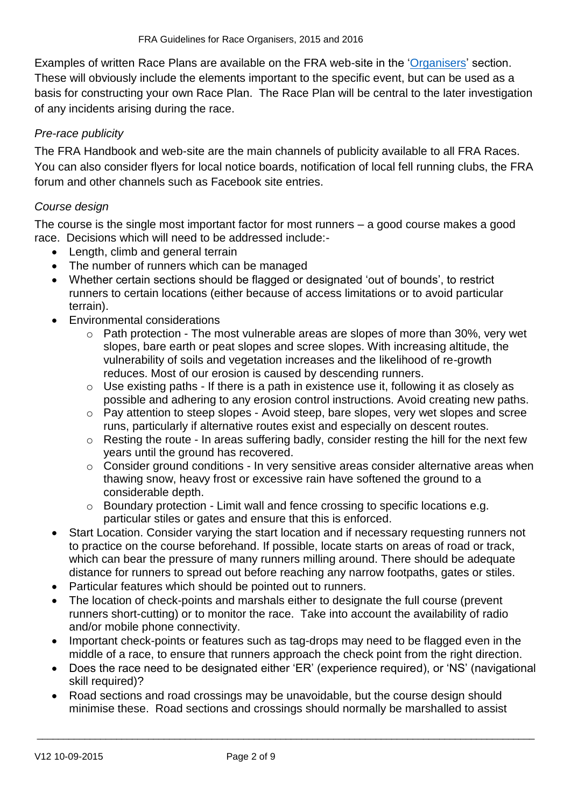Examples of written Race Plans are available on the FRA web-site in the ['Organisers'](http://fellrunner.org.uk/organisers.php) section. These will obviously include the elements important to the specific event, but can be used as a basis for constructing your own Race Plan. The Race Plan will be central to the later investigation of any incidents arising during the race.

# *Pre-race publicity*

The FRA Handbook and web-site are the main channels of publicity available to all FRA Races. You can also consider flyers for local notice boards, notification of local fell running clubs, the FRA forum and other channels such as Facebook site entries.

## *Course design*

The course is the single most important factor for most runners – a good course makes a good race. Decisions which will need to be addressed include:-

- Length, climb and general terrain
- The number of runners which can be managed
- Whether certain sections should be flagged or designated 'out of bounds', to restrict runners to certain locations (either because of access limitations or to avoid particular terrain).
- Environmental considerations
	- o Path protection The most vulnerable areas are slopes of more than 30%, very wet slopes, bare earth or peat slopes and scree slopes. With increasing altitude, the vulnerability of soils and vegetation increases and the likelihood of re-growth reduces. Most of our erosion is caused by descending runners.
	- o Use existing paths If there is a path in existence use it, following it as closely as possible and adhering to any erosion control instructions. Avoid creating new paths.
	- o Pay attention to steep slopes Avoid steep, bare slopes, very wet slopes and scree runs, particularly if alternative routes exist and especially on descent routes.
	- o Resting the route In areas suffering badly, consider resting the hill for the next few years until the ground has recovered.
	- o Consider ground conditions In very sensitive areas consider alternative areas when thawing snow, heavy frost or excessive rain have softened the ground to a considerable depth.
	- o Boundary protection Limit wall and fence crossing to specific locations e.g. particular stiles or gates and ensure that this is enforced.
- Start Location. Consider varying the start location and if necessary requesting runners not to practice on the course beforehand. If possible, locate starts on areas of road or track, which can bear the pressure of many runners milling around. There should be adequate distance for runners to spread out before reaching any narrow footpaths, gates or stiles.
- Particular features which should be pointed out to runners.
- The location of check-points and marshals either to designate the full course (prevent runners short-cutting) or to monitor the race. Take into account the availability of radio and/or mobile phone connectivity.
- Important check-points or features such as tag-drops may need to be flagged even in the middle of a race, to ensure that runners approach the check point from the right direction.
- Does the race need to be designated either 'ER' (experience required), or 'NS' (navigational skill required)?
- Road sections and road crossings may be unavoidable, but the course design should minimise these. Road sections and crossings should normally be marshalled to assist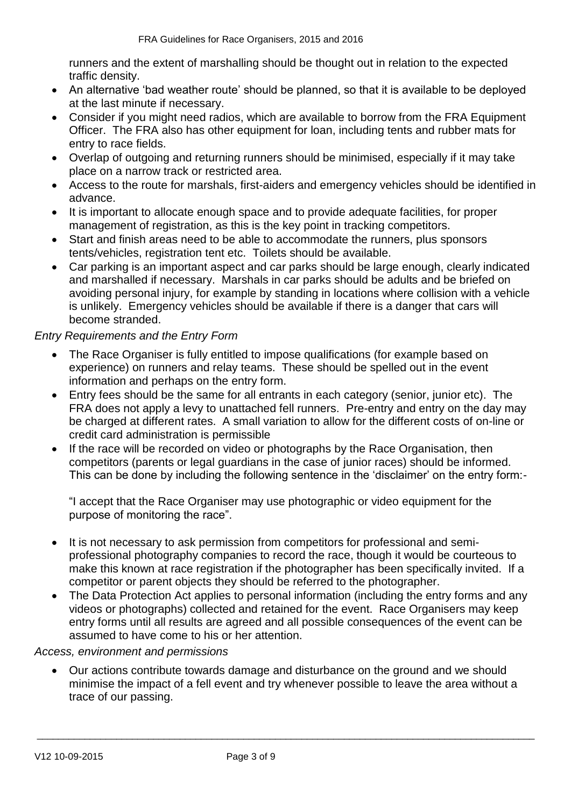runners and the extent of marshalling should be thought out in relation to the expected traffic density.

- An alternative 'bad weather route' should be planned, so that it is available to be deployed at the last minute if necessary.
- Consider if you might need radios, which are available to borrow from the FRA Equipment Officer. The FRA also has other equipment for loan, including tents and rubber mats for entry to race fields.
- Overlap of outgoing and returning runners should be minimised, especially if it may take place on a narrow track or restricted area.
- Access to the route for marshals, first-aiders and emergency vehicles should be identified in advance.
- It is important to allocate enough space and to provide adequate facilities, for proper management of registration, as this is the key point in tracking competitors.
- Start and finish areas need to be able to accommodate the runners, plus sponsors tents/vehicles, registration tent etc. Toilets should be available.
- Car parking is an important aspect and car parks should be large enough, clearly indicated and marshalled if necessary. Marshals in car parks should be adults and be briefed on avoiding personal injury, for example by standing in locations where collision with a vehicle is unlikely. Emergency vehicles should be available if there is a danger that cars will become stranded.

## *Entry Requirements and the Entry Form*

- The Race Organiser is fully entitled to impose qualifications (for example based on experience) on runners and relay teams. These should be spelled out in the event information and perhaps on the entry form.
- Entry fees should be the same for all entrants in each category (senior, junior etc). The FRA does not apply a levy to unattached fell runners. Pre-entry and entry on the day may be charged at different rates. A small variation to allow for the different costs of on-line or credit card administration is permissible
- If the race will be recorded on video or photographs by the Race Organisation, then competitors (parents or legal guardians in the case of junior races) should be informed. This can be done by including the following sentence in the 'disclaimer' on the entry form:-

"I accept that the Race Organiser may use photographic or video equipment for the purpose of monitoring the race".

- It is not necessary to ask permission from competitors for professional and semiprofessional photography companies to record the race, though it would be courteous to make this known at race registration if the photographer has been specifically invited. If a competitor or parent objects they should be referred to the photographer.
- The Data Protection Act applies to personal information (including the entry forms and any videos or photographs) collected and retained for the event. Race Organisers may keep entry forms until all results are agreed and all possible consequences of the event can be assumed to have come to his or her attention.

#### *Access, environment and permissions*

 Our actions contribute towards damage and disturbance on the ground and we should minimise the impact of a fell event and try whenever possible to leave the area without a trace of our passing.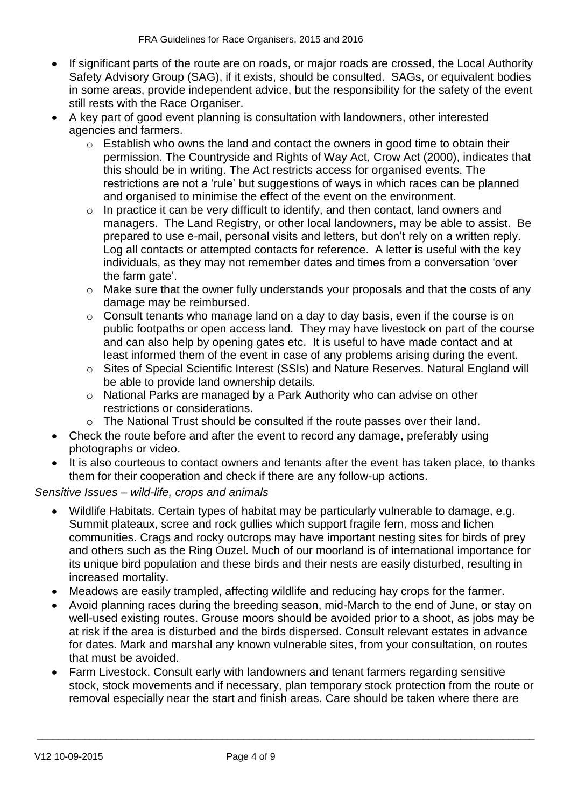- If significant parts of the route are on roads, or major roads are crossed, the Local Authority Safety Advisory Group (SAG), if it exists, should be consulted. SAGs, or equivalent bodies in some areas, provide independent advice, but the responsibility for the safety of the event still rests with the Race Organiser.
- A key part of good event planning is consultation with landowners, other interested agencies and farmers.
	- $\circ$  Establish who owns the land and contact the owners in good time to obtain their permission. The Countryside and Rights of Way Act, Crow Act (2000), indicates that this should be in writing. The Act restricts access for organised events. The restrictions are not a 'rule' but suggestions of ways in which races can be planned and organised to minimise the effect of the event on the environment.
	- $\circ$  In practice it can be very difficult to identify, and then contact, land owners and managers. The Land Registry, or other local landowners, may be able to assist. Be prepared to use e-mail, personal visits and letters, but don't rely on a written reply. Log all contacts or attempted contacts for reference. A letter is useful with the key individuals, as they may not remember dates and times from a conversation 'over the farm gate'.
	- o Make sure that the owner fully understands your proposals and that the costs of any damage may be reimbursed.
	- o Consult tenants who manage land on a day to day basis, even if the course is on public footpaths or open access land. They may have livestock on part of the course and can also help by opening gates etc. It is useful to have made contact and at least informed them of the event in case of any problems arising during the event.
	- o Sites of Special Scientific Interest (SSIs) and Nature Reserves. Natural England will be able to provide land ownership details.
	- o National Parks are managed by a Park Authority who can advise on other restrictions or considerations.
	- o The National Trust should be consulted if the route passes over their land.
- Check the route before and after the event to record any damage, preferably using photographs or video.
- It is also courteous to contact owners and tenants after the event has taken place, to thanks them for their cooperation and check if there are any follow-up actions.

#### *Sensitive Issues – wild-life, crops and animals*

- Wildlife Habitats. Certain types of habitat may be particularly vulnerable to damage, e.g. Summit plateaux, scree and rock gullies which support fragile fern, moss and lichen communities. Crags and rocky outcrops may have important nesting sites for birds of prey and others such as the Ring Ouzel. Much of our moorland is of international importance for its unique bird population and these birds and their nests are easily disturbed, resulting in increased mortality.
- Meadows are easily trampled, affecting wildlife and reducing hay crops for the farmer.
- Avoid planning races during the breeding season, mid-March to the end of June, or stay on well-used existing routes. Grouse moors should be avoided prior to a shoot, as jobs may be at risk if the area is disturbed and the birds dispersed. Consult relevant estates in advance for dates. Mark and marshal any known vulnerable sites, from your consultation, on routes that must be avoided.
- Farm Livestock. Consult early with landowners and tenant farmers regarding sensitive stock, stock movements and if necessary, plan temporary stock protection from the route or removal especially near the start and finish areas. Care should be taken where there are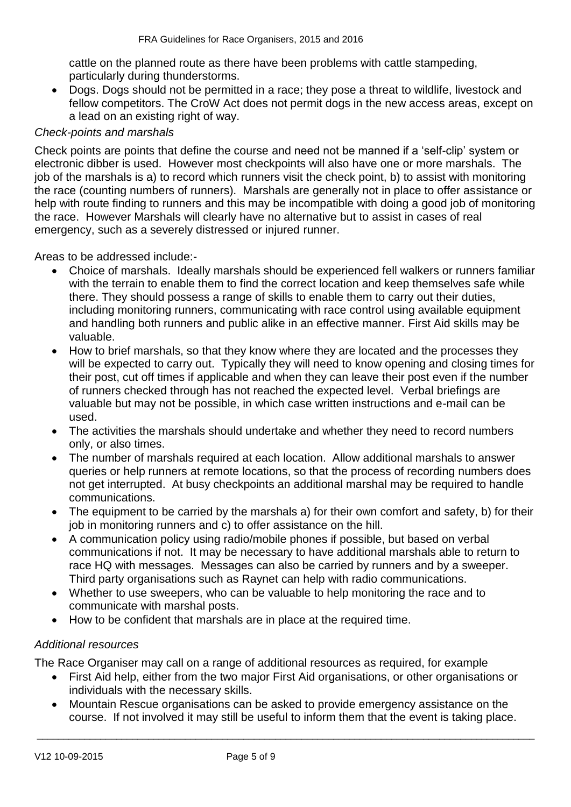cattle on the planned route as there have been problems with cattle stampeding, particularly during thunderstorms.

 Dogs. Dogs should not be permitted in a race; they pose a threat to wildlife, livestock and fellow competitors. The CroW Act does not permit dogs in the new access areas, except on a lead on an existing right of way.

## *Check-points and marshals*

Check points are points that define the course and need not be manned if a 'self-clip' system or electronic dibber is used. However most checkpoints will also have one or more marshals. The job of the marshals is a) to record which runners visit the check point, b) to assist with monitoring the race (counting numbers of runners). Marshals are generally not in place to offer assistance or help with route finding to runners and this may be incompatible with doing a good job of monitoring the race. However Marshals will clearly have no alternative but to assist in cases of real emergency, such as a severely distressed or injured runner.

Areas to be addressed include:-

- Choice of marshals. Ideally marshals should be experienced fell walkers or runners familiar with the terrain to enable them to find the correct location and keep themselves safe while there. They should possess a range of skills to enable them to carry out their duties, including monitoring runners, communicating with race control using available equipment and handling both runners and public alike in an effective manner. First Aid skills may be valuable.
- How to brief marshals, so that they know where they are located and the processes they will be expected to carry out. Typically they will need to know opening and closing times for their post, cut off times if applicable and when they can leave their post even if the number of runners checked through has not reached the expected level. Verbal briefings are valuable but may not be possible, in which case written instructions and e-mail can be used.
- The activities the marshals should undertake and whether they need to record numbers only, or also times.
- The number of marshals required at each location. Allow additional marshals to answer queries or help runners at remote locations, so that the process of recording numbers does not get interrupted. At busy checkpoints an additional marshal may be required to handle communications.
- The equipment to be carried by the marshals a) for their own comfort and safety, b) for their job in monitoring runners and c) to offer assistance on the hill.
- A communication policy using radio/mobile phones if possible, but based on verbal communications if not. It may be necessary to have additional marshals able to return to race HQ with messages. Messages can also be carried by runners and by a sweeper. Third party organisations such as Raynet can help with radio communications.
- Whether to use sweepers, who can be valuable to help monitoring the race and to communicate with marshal posts.
- How to be confident that marshals are in place at the required time.

#### *Additional resources*

The Race Organiser may call on a range of additional resources as required, for example

- First Aid help, either from the two major First Aid organisations, or other organisations or individuals with the necessary skills.
- Mountain Rescue organisations can be asked to provide emergency assistance on the course. If not involved it may still be useful to inform them that the event is taking place.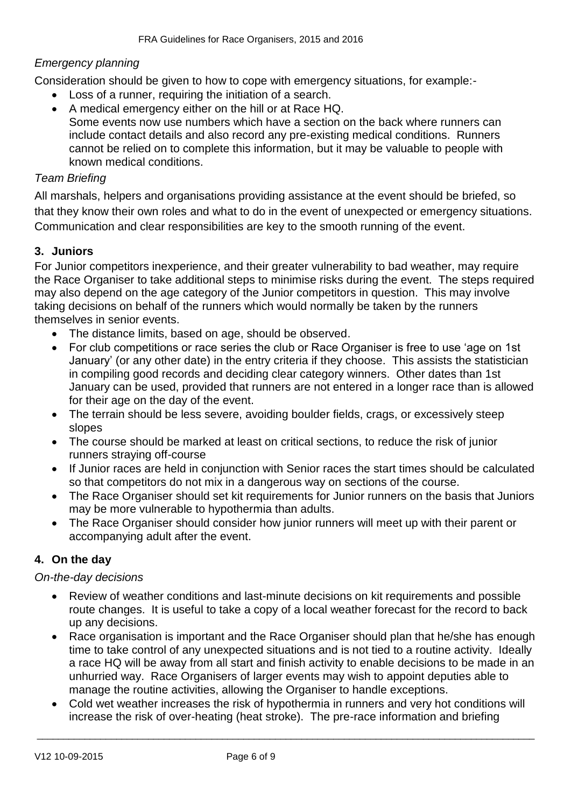## *Emergency planning*

Consideration should be given to how to cope with emergency situations, for example:-

- Loss of a runner, requiring the initiation of a search.
- A medical emergency either on the hill or at Race HQ. Some events now use numbers which have a section on the back where runners can include contact details and also record any pre-existing medical conditions. Runners cannot be relied on to complete this information, but it may be valuable to people with known medical conditions.

## *Team Briefing*

All marshals, helpers and organisations providing assistance at the event should be briefed, so that they know their own roles and what to do in the event of unexpected or emergency situations. Communication and clear responsibilities are key to the smooth running of the event.

## **3. Juniors**

For Junior competitors inexperience, and their greater vulnerability to bad weather, may require the Race Organiser to take additional steps to minimise risks during the event. The steps required may also depend on the age category of the Junior competitors in question. This may involve taking decisions on behalf of the runners which would normally be taken by the runners themselves in senior events.

- The distance limits, based on age, should be observed.
- For club competitions or race series the club or Race Organiser is free to use 'age on 1st January' (or any other date) in the entry criteria if they choose. This assists the statistician in compiling good records and deciding clear category winners. Other dates than 1st January can be used, provided that runners are not entered in a longer race than is allowed for their age on the day of the event.
- The terrain should be less severe, avoiding boulder fields, crags, or excessively steep slopes
- The course should be marked at least on critical sections, to reduce the risk of junior runners straying off-course
- If Junior races are held in conjunction with Senior races the start times should be calculated so that competitors do not mix in a dangerous way on sections of the course.
- The Race Organiser should set kit requirements for Junior runners on the basis that Juniors may be more vulnerable to hypothermia than adults.
- The Race Organiser should consider how junior runners will meet up with their parent or accompanying adult after the event.

## **4. On the day**

#### *On-the-day decisions*

- Review of weather conditions and last-minute decisions on kit requirements and possible route changes. It is useful to take a copy of a local weather forecast for the record to back up any decisions.
- Race organisation is important and the Race Organiser should plan that he/she has enough time to take control of any unexpected situations and is not tied to a routine activity. Ideally a race HQ will be away from all start and finish activity to enable decisions to be made in an unhurried way. Race Organisers of larger events may wish to appoint deputies able to manage the routine activities, allowing the Organiser to handle exceptions.
- Cold wet weather increases the risk of hypothermia in runners and very hot conditions will increase the risk of over-heating (heat stroke). The pre-race information and briefing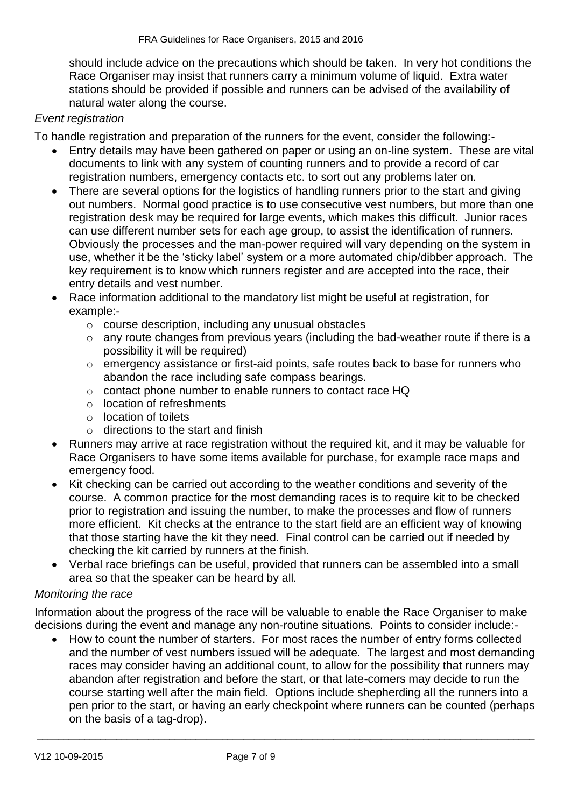should include advice on the precautions which should be taken. In very hot conditions the Race Organiser may insist that runners carry a minimum volume of liquid. Extra water stations should be provided if possible and runners can be advised of the availability of natural water along the course.

## *Event registration*

To handle registration and preparation of the runners for the event, consider the following:-

- Entry details may have been gathered on paper or using an on-line system. These are vital documents to link with any system of counting runners and to provide a record of car registration numbers, emergency contacts etc. to sort out any problems later on.
- There are several options for the logistics of handling runners prior to the start and giving out numbers. Normal good practice is to use consecutive vest numbers, but more than one registration desk may be required for large events, which makes this difficult. Junior races can use different number sets for each age group, to assist the identification of runners. Obviously the processes and the man-power required will vary depending on the system in use, whether it be the 'sticky label' system or a more automated chip/dibber approach. The key requirement is to know which runners register and are accepted into the race, their entry details and vest number.
- Race information additional to the mandatory list might be useful at registration, for example:
	- o course description, including any unusual obstacles
	- $\circ$  any route changes from previous years (including the bad-weather route if there is a possibility it will be required)
	- o emergency assistance or first-aid points, safe routes back to base for runners who abandon the race including safe compass bearings.
	- o contact phone number to enable runners to contact race HQ
	- o location of refreshments
	- o location of toilets
	- $\circ$  directions to the start and finish
- Runners may arrive at race registration without the required kit, and it may be valuable for Race Organisers to have some items available for purchase, for example race maps and emergency food.
- Kit checking can be carried out according to the weather conditions and severity of the course. A common practice for the most demanding races is to require kit to be checked prior to registration and issuing the number, to make the processes and flow of runners more efficient. Kit checks at the entrance to the start field are an efficient way of knowing that those starting have the kit they need. Final control can be carried out if needed by checking the kit carried by runners at the finish.
- Verbal race briefings can be useful, provided that runners can be assembled into a small area so that the speaker can be heard by all.

#### *Monitoring the race*

Information about the progress of the race will be valuable to enable the Race Organiser to make decisions during the event and manage any non-routine situations. Points to consider include:-

 How to count the number of starters. For most races the number of entry forms collected and the number of vest numbers issued will be adequate. The largest and most demanding races may consider having an additional count, to allow for the possibility that runners may abandon after registration and before the start, or that late-comers may decide to run the course starting well after the main field. Options include shepherding all the runners into a pen prior to the start, or having an early checkpoint where runners can be counted (perhaps on the basis of a tag-drop).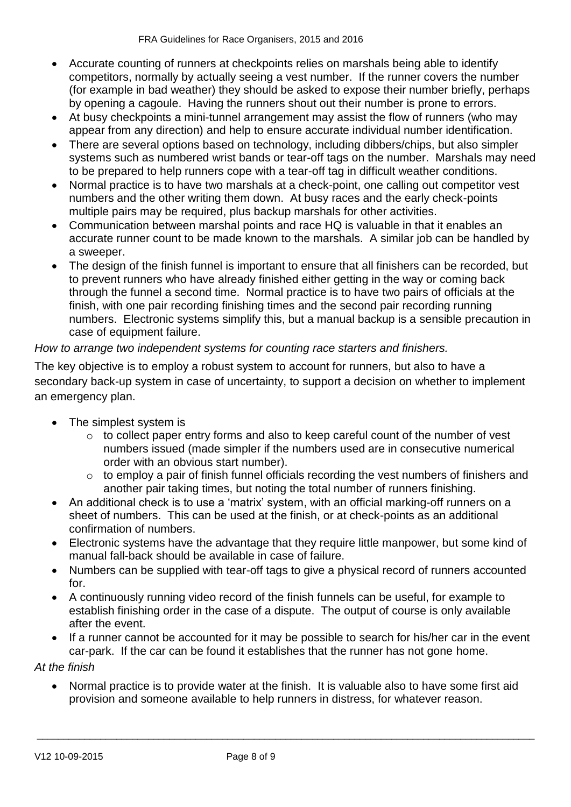- Accurate counting of runners at checkpoints relies on marshals being able to identify competitors, normally by actually seeing a vest number. If the runner covers the number (for example in bad weather) they should be asked to expose their number briefly, perhaps by opening a cagoule. Having the runners shout out their number is prone to errors.
- At busy checkpoints a mini-tunnel arrangement may assist the flow of runners (who may appear from any direction) and help to ensure accurate individual number identification.
- There are several options based on technology, including dibbers/chips, but also simpler systems such as numbered wrist bands or tear-off tags on the number. Marshals may need to be prepared to help runners cope with a tear-off tag in difficult weather conditions.
- Normal practice is to have two marshals at a check-point, one calling out competitor vest numbers and the other writing them down. At busy races and the early check-points multiple pairs may be required, plus backup marshals for other activities.
- Communication between marshal points and race HQ is valuable in that it enables an accurate runner count to be made known to the marshals. A similar job can be handled by a sweeper.
- The design of the finish funnel is important to ensure that all finishers can be recorded, but to prevent runners who have already finished either getting in the way or coming back through the funnel a second time. Normal practice is to have two pairs of officials at the finish, with one pair recording finishing times and the second pair recording running numbers. Electronic systems simplify this, but a manual backup is a sensible precaution in case of equipment failure.

## *How to arrange two independent systems for counting race starters and finishers.*

The key objective is to employ a robust system to account for runners, but also to have a secondary back-up system in case of uncertainty, to support a decision on whether to implement an emergency plan.

- The simplest system is
	- $\circ$  to collect paper entry forms and also to keep careful count of the number of vest numbers issued (made simpler if the numbers used are in consecutive numerical order with an obvious start number).
	- o to employ a pair of finish funnel officials recording the vest numbers of finishers and another pair taking times, but noting the total number of runners finishing.
- An additional check is to use a 'matrix' system, with an official marking-off runners on a sheet of numbers. This can be used at the finish, or at check-points as an additional confirmation of numbers.
- Electronic systems have the advantage that they require little manpower, but some kind of manual fall-back should be available in case of failure.
- Numbers can be supplied with tear-off tags to give a physical record of runners accounted for.
- A continuously running video record of the finish funnels can be useful, for example to establish finishing order in the case of a dispute. The output of course is only available after the event.
- If a runner cannot be accounted for it may be possible to search for his/her car in the event car-park. If the car can be found it establishes that the runner has not gone home.

*At the finish*

 Normal practice is to provide water at the finish. It is valuable also to have some first aid provision and someone available to help runners in distress, for whatever reason.